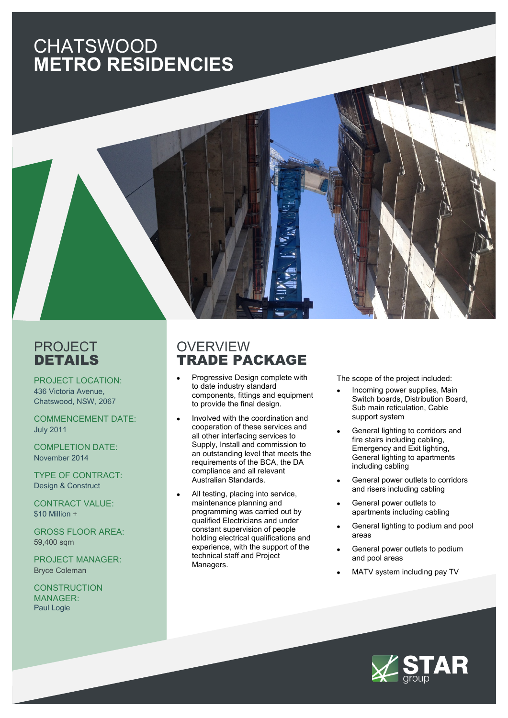# CHATSWOOD **METRO RESIDENCIES**

### PROJECT DETAILS

PROJECT LOCATION: 436 Victoria Avenue, Chatswood, NSW, 2067

COMMENCEMENT DATE: July 2011

COMPLETION DATE: November 2014

TYPE OF CONTRACT: Design & Construct

CONTRACT VALUE: \$10 Million +

GROSS FLOOR AREA: 59,400 sqm

PROJECT MANAGER: Bryce Coleman

**CONSTRUCTION** MANAGER: Paul Logie

#### **OVERVIEW** TRADE PACKAGE

- Progressive Design complete with to date industry standard components, fittings and equipment to provide the final design.
- Involved with the coordination and cooperation of these services and all other interfacing services to Supply, Install and commission to an outstanding level that meets the requirements of the BCA, the DA compliance and all relevant Australian Standards.
- All testing, placing into service, maintenance planning and programming was carried out by qualified Electricians and under constant supervision of people holding electrical qualifications and experience, with the support of the technical staff and Project Managers.

The scope of the project included:

- Incoming power supplies, Main Switch boards, Distribution Board, Sub main reticulation, Cable support system
- General lighting to corridors and fire stairs including cabling, Emergency and Exit lighting, General lighting to apartments including cabling
- General power outlets to corridors and risers including cabling
- General power outlets to apartments including cabling
- General lighting to podium and pool areas
- General power outlets to podium and pool areas
- MATV system including pay TV